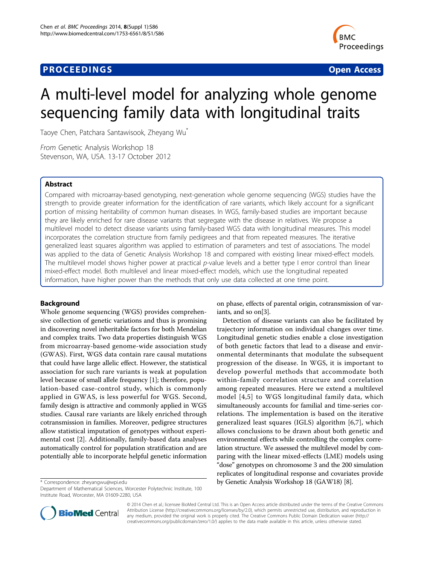# **PROCEEDINGS CONSIDERING S** Open Access **CONSIDERING S**



# A multi-level model for analyzing whole genome sequencing family data with longitudinal traits

Taoye Chen, Patchara Santawisook, Zheyang Wu\*

From Genetic Analysis Workshop 18 Stevenson, WA, USA. 13-17 October 2012

# Abstract

Compared with microarray-based genotyping, next-generation whole genome sequencing (WGS) studies have the strength to provide greater information for the identification of rare variants, which likely account for a significant portion of missing heritability of common human diseases. In WGS, family-based studies are important because they are likely enriched for rare disease variants that segregate with the disease in relatives. We propose a multilevel model to detect disease variants using family-based WGS data with longitudinal measures. This model incorporates the correlation structure from family pedigrees and that from repeated measures. The iterative generalized least squares algorithm was applied to estimation of parameters and test of associations. The model was applied to the data of Genetic Analysis Workshop 18 and compared with existing linear mixed-effect models. The multilevel model shows higher power at practical  $p$ -value levels and a better type I error control than linear mixed-effect model. Both multilevel and linear mixed-effect models, which use the longitudinal repeated information, have higher power than the methods that only use data collected at one time point.

# Background

Whole genome sequencing (WGS) provides comprehensive collection of genetic variations and thus is promising in discovering novel inheritable factors for both Mendelian and complex traits. Two data properties distinguish WGS from microarray-based genome-wide association study (GWAS). First, WGS data contain rare causal mutations that could have large allelic effect. However, the statistical association for such rare variants is weak at population level because of small allele frequency [\[1\]](#page-3-0); therefore, population-based case-control study, which is commonly applied in GWAS, is less powerful for WGS. Second, family design is attractive and commonly applied in WGS studies. Causal rare variants are likely enriched through cotransmission in families. Moreover, pedigree structures allow statistical imputation of genotypes without experimental cost [\[2](#page-3-0)]. Additionally, family-based data analyses automatically control for population stratification and are potentially able to incorporate helpful genetic information

Department of Mathematical Sciences, Worcester Polytechnic Institute, 100 Institute Road, Worcester, MA 01609-2280, USA

on phase, effects of parental origin, cotransmission of variants, and so on[\[3](#page-3-0)].

Detection of disease variants can also be facilitated by trajectory information on individual changes over time. Longitudinal genetic studies enable a close investigation of both genetic factors that lead to a disease and environmental determinants that modulate the subsequent progression of the disease. In WGS, it is important to develop powerful methods that accommodate both within-family correlation structure and correlation among repeated measures. Here we extend a multilevel model [[4,5](#page-3-0)] to WGS longitudinal family data, which simultaneously accounts for familial and time-series correlations. The implementation is based on the iterative generalized least squares (IGLS) algorithm [\[6](#page-3-0),[7\]](#page-3-0), which allows conclusions to be drawn about both genetic and environmental effects while controlling the complex correlation structure. We assessed the multilevel model by comparing with the linear mixed-effects (LME) models using "dose" genotypes on chromosome 3 and the 200 simulation replicates of longitudinal response and covariates provide \* Correspondence: [zheyangwu@wpi.edu](mailto:zheyangwu@wpi.edu) by Genetic Analysis Workshop 18 (GAW18) [\[8](#page-3-0)].



© 2014 Chen et al.; licensee BioMed Central Ltd. This is an Open Access article distributed under the terms of the Creative Commons Attribution License [\(http://creativecommons.org/licenses/by/2.0](http://creativecommons.org/licenses/by/2.0)), which permits unrestricted use, distribution, and reproduction in any medium, provided the original work is properly cited. The Creative Commons Public Domain Dedication waiver [\(http://](http://creativecommons.org/publicdomain/zero/1.0/) [creativecommons.org/publicdomain/zero/1.0/](http://creativecommons.org/publicdomain/zero/1.0/)) applies to the data made available in this article, unless otherwise stated.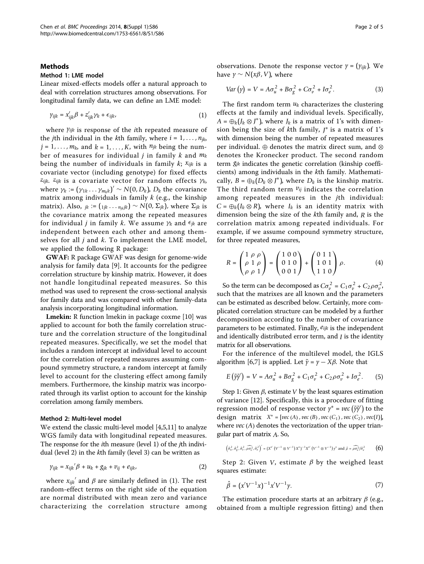#### Methods

## Method 1: LME model

Linear mixed-effects models offer a natural approach to deal with correlation structures among observations. For longitudinal family data, we can define an LME model:

$$
\gamma_{ijk} = x'_{ijk}\beta + z'_{ijk}\gamma_k + \epsilon_{ijk}, \qquad (1)
$$

where *yijk* is response of the ith repeated measure of the *j*th individual in the *k*th family, where  $i = 1, \ldots, n_{jk}$  $j = 1, \ldots, m_k$ , and  $k = 1, \ldots, K$ , with  $n_{jk}$  being the number of measures for individual j in family k and *mk* being the number of individuals in family k; *xijk* is a covariate vector (including genotype) for fixed effects *zijk*. *zijk* is a covariate vector for random effects γ*k*, where  $\gamma_k := (\gamma_{1k} \dots \gamma_{m_k k})' \sim N(0, D_k)$ ,  $D_k$  the covariance matrix among individuals in family  $k$  (e.g., the kinship matrix). Also,  $jk := (1jk \dots n_{ik}jk)$  ∼  $N(0, \Sigma_{jk})$ , where  $\Sigma_{jk}$  is the covariance matrix among the repeated measures for individual *j* in family *k*. We assume  $\gamma_k$  and  $\epsilon_{jk}$  are independent between each other and among themselves for all  $j$  and  $k$ . To implement the LME model, we applied the following R package:

GWAF: R package GWAF was design for genome-wide analysis for family data [[9](#page-3-0)]. It accounts for the pedigree correlation structure by kinship matrix. However, it does not handle longitudinal repeated measures. So this method was used to represent the cross-sectional analysis for family data and was compared with other family-data analysis incorporating longitudinal information.

Lmekin: R function lmekin in package coxme [[10](#page-3-0)] was applied to account for both the family correlation structure and the correlation structure of the longitudinal repeated measures. Specifically, we set the model that includes a random intercept at individual level to account for the correlation of repeated measures assuming compound symmetry structure, a random intercept at family level to account for the clustering effect among family members. Furthermore, the kinship matrix was incorporated through its varlist option to account for the kinship correlation among family members.

#### Method 2: Multi-level model

We extend the classic multi-level model [[4](#page-3-0),[5,11\]](#page-3-0) to analyze WGS family data with longitudinal repeated measures. The response for the ith measure (level 1) of the jth individual (level 2) in the kth family (level 3) can be written as

$$
\gamma_{ijk} = x_{ijk} \beta + u_k + g_{jk} + v_{ij} + e_{ijk}, \qquad (2)
$$

where  $x_{ijk}^{\phantom i'}$  and  $\beta$  are similarly defined in (1). The rest random-effect terms on the right side of the equation are normal distributed with mean zero and variance characterizing the correlation structure among

observations. Denote the response vector  $\gamma = (\gamma_{ijk})$ . We have *y* ∼ *N*(*x*β, *V*), where

$$
Var(y) = V = A\sigma_u^2 + B\sigma_g^2 + C\sigma_v^2 + I\sigma_e^2.
$$
 (3)

The first random term *uk* characterizes the clustering effects at the family and individual levels. Specifically,  $A = \bigoplus_k (J_k \otimes J^*)$ , where  $J_k$  is a matrix of 1's with dimension being the size of kth family, *J* <sup>∗</sup> is a matrix of 1's with dimension being the number of repeated measures per individual. ⊕ denotes the matrix direct sum, and ⊗ denotes the Kronecker product. The second random term *gjk* indicates the genetic correlation (kinship coefficients) among individuals in the kth family. Mathematically,  $B = \bigoplus_k (D_k \otimes J^*)$ , where  $D_k$  is the kinship matrix. The third random term *vij* indicates the correlation among repeated measures in the jth individual:  $C = \bigoplus_k (I_k \otimes R)$ , where  $I_k$  is an identity matrix with dimension being the size of the kth family and, *R* is the correlation matrix among repeated individuals. For example, if we assume compound symmetry structure, for three repeated measures,

$$
R = \begin{pmatrix} 1 & \rho & \rho \\ \rho & 1 & \rho \\ \rho & \rho & 1 \end{pmatrix} = \begin{pmatrix} 1 & 0 & 0 \\ 0 & 1 & 0 \\ 0 & 0 & 1 \end{pmatrix} + \begin{pmatrix} 0 & 1 & 1 \\ 1 & 0 & 1 \\ 1 & 1 & 0 \end{pmatrix} \rho.
$$
 (4)

So the term can be decomposed as  $C\sigma_v^2 = C_1\sigma_v^2 + C_2\rho\sigma_v^2$ , such that the matrixes are all known and the parameters can be estimated as described below. Certainly, more complicated correlation structure can be modeled by a further decomposition according to the number of covariance parameters to be estimated. Finally, *eijk* is the independent and identically distributed error term, and *I* is the identity matrix for all observations.

For the inference of the multilevel model, the IGLS algorithm [[6](#page-3-0),[7](#page-3-0)] is applied. Let  $\tilde{y} = y - X\beta$ . Note that

$$
E(\tilde{\gamma}\tilde{\gamma}') = V = A\sigma_u^2 + B\sigma_g^2 + C_1\sigma_v^2 + C_2\rho\sigma_v^2 + I\sigma_e^2.
$$
 (5)

Step 1: Given  $\beta$ , estimate *V* by the least squares estimation of variance [[12](#page-3-0)]. Specifically, this is a procedure of fitting regression model of response vector  $y^* = vec(\tilde{y}\tilde{y}')$  to the design matrix  $X^* = [vec(A), vec(B), vec(C_1), vec(C_2), vec(I)],$ where *vec* (A) denotes the vectorization of the upper triangular part of matrix *A*. So,

$$
\left(\hat{\sigma}^2_{u},\hat{\sigma}^2_{g},\hat{\sigma}^2_{v},\widehat{\rho\sigma^2_{v}},\hat{\sigma}^2_{e}\right)^{\prime}=\left(X^{s^\prime}\left(V^{-1}\otimes V^{-1}\right)X^*\right)^{-1}X^{s^\prime}\left(V^{-1}\otimes V^{-1}\right)\gamma^*\text{ and }\hat{\rho}=\widehat{\rho\sigma^2_{v}}/\hat{\sigma}^2_{v}\qquad \ \ \textbf{(6)}
$$

Step 2: Given *V*, estimate  $\beta$  by the weighed least squares estimate:

$$
\hat{\beta} = (x'V^{-1}x)^{-1}x'V^{-1}\gamma.
$$
\n(7)

The estimation procedure starts at an arbitrary  $\beta$  (e.g., obtained from a multiple regression fitting) and then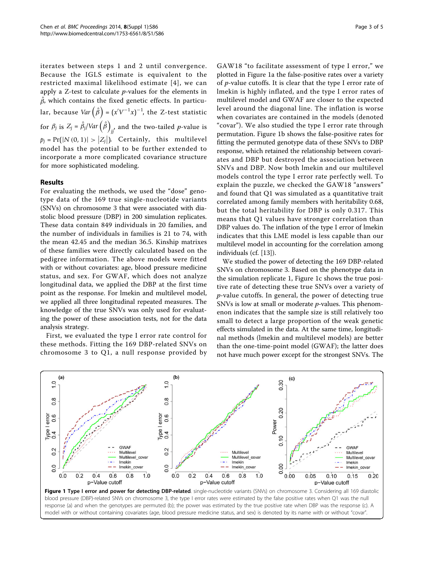iterates between steps 1 and 2 until convergence. Because the IGLS estimate is equivalent to the restricted maximal likelihood estimate [[4\]](#page-3-0), we can apply a  $Z$ -test to calculate  $p$ -values for the elements in  $\hat{\beta}$ , which contains the fixed genetic effects. In particular, because  $Var\left( \hat{\beta} \right) = (x^{\prime} V^{-1} x)^{-1}$ , the Z-test statistic for  $\beta_j$  is  $Z_j = \hat{\beta}_j / \text{Var}\left(\hat{\beta}\right)$ *jj* , and the two-tailed p-value is  $p_j = \Pr(|N(0, 1)| > |Z_j|)$ . Certainly, this multilevel model has the potential to be further extended to incorporate a more complicated covariance structure for more sophisticated modeling.

# Results

For evaluating the methods, we used the "dose" genotype data of the 169 true single-nucleotide variants (SNVs) on chromosome 3 that were associated with diastolic blood pressure (DBP) in 200 simulation replicates. These data contain 849 individuals in 20 families, and the number of individuals in families is 21 to 74, with the mean 42.45 and the median 36.5. Kinship matrixes of these families were directly calculated based on the pedigree information. The above models were fitted with or without covariates: age, blood pressure medicine status, and sex. For GWAF, which does not analyze longitudinal data, we applied the DBP at the first time point as the response. For lmekin and multilevel model, we applied all three longitudinal repeated measures. The knowledge of the true SNVs was only used for evaluating the power of these association tests, not for the data analysis strategy.

First, we evaluated the type I error rate control for these methods. Fitting the 169 DBP-related SNVs on chromosome 3 to Q1, a null response provided by

GAW18 "to facilitate assessment of type I error," we plotted in Figure 1a the false-positive rates over a variety of  $p$ -value cutoffs. It is clear that the type I error rate of lmekin is highly inflated, and the type I error rates of multilevel model and GWAF are closer to the expected level around the diagonal line. The inflation is worse when covariates are contained in the models (denoted "covar"). We also studied the type I error rate through permutation. Figure 1b shows the false-positive rates for fitting the permuted genotype data of these SNVs to DBP response, which retained the relationship between covariates and DBP but destroyed the association between SNVs and DBP. Now both lmekin and our multilevel models control the type I error rate perfectly well. To explain the puzzle, we checked the GAW18 "answers" and found that Q1 was simulated as a quantitative trait correlated among family members with heritability 0.68, but the total heritability for DBP is only 0.317. This means that Q1 values have stronger correlation than DBP values do. The inflation of the type I error of lmekin indicates that this LME model is less capable than our multilevel model in accounting for the correlation among individuals (cf. [[13](#page-3-0)]).

We studied the power of detecting the 169 DBP-related SNVs on chromosome 3. Based on the phenotype data in the simulation replicate 1, Figure 1c shows the true positive rate of detecting these true SNVs over a variety of p-value cutoffs. In general, the power of detecting true SNVs is low at small or moderate  $p$ -values. This phenomenon indicates that the sample size is still relatively too small to detect a large proportion of the weak genetic effects simulated in the data. At the same time, longitudinal methods (lmekin and multilevel models) are better than the one-time-point model (GWAF); the latter does not have much power except for the strongest SNVs. The

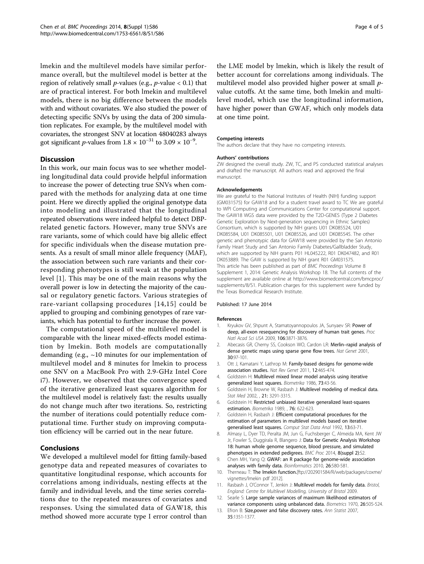<span id="page-3-0"></span>lmekin and the multilevel models have similar performance overall, but the multilevel model is better at the region of relatively small *p*-values (e.g., *p*-value  $<$  0.1) that are of practical interest. For both lmekin and multilevel models, there is no big difference between the models with and without covariates. We also studied the power of detecting specific SNVs by using the data of 200 simulation replicates. For example, by the multilevel model with covariates, the strongest SNV at location 48040283 always got significant *p*-values from  $1.8 \times 10^{-31}$  to  $3.09 \times 10^{-9}$ .

# **Discussion**

In this work, our main focus was to see whether modeling longitudinal data could provide helpful information to increase the power of detecting true SNVs when compared with the methods for analyzing data at one time point. Here we directly applied the original genotype data into modeling and illustrated that the longitudinal repeated observations were indeed helpful to detect DBPrelated genetic factors. However, many true SNVs are rare variants, some of which could have big allelic effect for specific individuals when the disease mutation presents. As a result of small minor allele frequency (MAF), the association between such rare variants and their corresponding phenotypes is still weak at the population level [1]. This may be one of the main reasons why the overall power is low in detecting the majority of the causal or regulatory genetic factors. Various strategies of rare-variant collapsing procedures [[14](#page-4-0),[15](#page-4-0)] could be applied to grouping and combining genotypes of rare variants, which has potential to further increase the power.

The computational speed of the multilevel model is comparable with the linear mixed-effects model estimation by lmekin. Both models are computationally demanding (e.g.,  $\sim$ 10 minutes for our implementation of multilevel model and 8 minutes for lmekin to process one SNV on a MacBook Pro with 2.9-GHz Intel Core i7). However, we observed that the convergence speed of the iterative generalized least squares algorithm for the multilevel model is relatively fast: the results usually do not change much after two iterations. So, restricting the number of iterations could potentially reduce computational time. Further study on improving computation efficiency will be carried out in the near future.

## Conclusions

We developed a multilevel model for fitting family-based genotype data and repeated measures of covariates to quantitative longitudinal response, which accounts for correlations among individuals, nesting effects at the family and individual levels, and the time series correlations due to the repeated measures of covariates and responses. Using the simulated data of GAW18, this method showed more accurate type I error control than

the LME model by lmekin, which is likely the result of better account for correlations among individuals. The multilevel model also provided higher power at small pvalue cutoffs. At the same time, both lmekin and multilevel model, which use the longitudinal information, have higher power than GWAF, which only models data at one time point.

#### Competing interests

The authors declare that they have no competing interests.

#### Authors' contributions

ZW designed the overall study. ZW, TC, and PS conducted statistical analyses and drafted the manuscript. All authors read and approved the final manuscript.

#### Acknowledgements

We are grateful to the National Institutes of Health (NIH) funding support (GM031575) for GAW18 and for a student travel award to TC We are grateful to WPI Computing and Communications Center for computational support. The GAW18 WGS data were provided by the T2D-GENES (Type 2 Diabetes Genetic Exploration by Next-generation sequencing in Ethnic Samples) Consortium, which is supported by NIH grants U01 DK085524, U01 DK085584, U01 DK085501, U01 DK085526, and U01 DK085545. The other genetic and phenotypic data for GAW18 were provided by the San Antonio Family Heart Study and San Antonio Family Diabetes/Gallbladder Study, which are supported by NIH grants P01 HL045222, R01 DK047482, and R01 DK053889. The GAW is supported by NIH grant R01 GM031575. This article has been published as part of BMC Proceedings Volume 8 Supplement 1, 2014: Genetic Analysis Workshop 18. The full contents of the supplement are available online at [http://www.biomedcentral.com/bmcproc/](http://www.biomedcentral.com/bmcproc/supplements/8/S1) [supplements/8/S1.](http://www.biomedcentral.com/bmcproc/supplements/8/S1) Publication charges for this supplement were funded by the Texas Biomedical Research Institute.

#### Published: 17 June 2014

#### References

- Kryukov GV, Shpunt A, Stamatovannopoulos JA, Sunyaev SR: [Power of](http://www.ncbi.nlm.nih.gov/pubmed/19202052?dopt=Abstract) [deep, all-exon resequencing for discovery of human trait genes.](http://www.ncbi.nlm.nih.gov/pubmed/19202052?dopt=Abstract) Proc Natl Acad Sci USA 2009, 106:3871-3876.
- 2. Abecasis GR, Cherny SS, Cookson WO, Cardon LR: Merlin-[rapid analysis of](http://www.ncbi.nlm.nih.gov/pubmed/11731797?dopt=Abstract) [dense genetic maps using sparse gene flow trees.](http://www.ncbi.nlm.nih.gov/pubmed/11731797?dopt=Abstract) Nat Genet 2001, 30:97-101.
- 3. Ott J, Kamatani Y, Lathrop M: [Family-based designs for genome-wide](http://www.ncbi.nlm.nih.gov/pubmed/21629274?dopt=Abstract) [association studies.](http://www.ncbi.nlm.nih.gov/pubmed/21629274?dopt=Abstract) Nat Rev Genet 2011, 12:465-474.
- 4. Goldstein H: Multilevel mixed linear model analysis using iterative generalized least squares. Biometrika 1986, 73:43-56.
- 5. Goldstein H, Browne W, Rasbash J: Multilevel modeling of medical data. Stat Med 2002, , 21: 3291-3315.
- 6. Goldstein H: Restricted unbiased iterative generalized least-squares estimation. Biometrika 1989, , **76:** 622-623.
- 7. Goldstein H, Rasbash J: Efficient computational procedures for the estimation of parameters in multilevel models based on iterative generalised least squares. Comput Stat Data Anal 1992, 13:63-71.
- 8. Almasy L, Dyer TD, Peralta JM, Jun G, Fuchsberger C, Almeida MA, Kent JW Jr, Fowler S, Duggirala R, Blangero J: Data for Genetic Analysis Workshop 18: human whole genome sequence, blood pressure, and simulated phenotypes in extended pedigrees. BMC Proc 2014, 8(suppl 2):S2.
- 9. Chen MH, Yang Q: [GWAF: an R package for genome-wide association](http://www.ncbi.nlm.nih.gov/pubmed/20040588?dopt=Abstract) [analyses with family data.](http://www.ncbi.nlm.nih.gov/pubmed/20040588?dopt=Abstract) Bioinformatics 2010, 26:580-581.
- 10. Therneau T: The Imekin function.[[ftp://202901584/R/web/packages/coxme/](ftp://202901584/R/web/packages/coxme/vignettes/lmekin pdf 2012) [vignettes/lmekin pdf 2012\]](ftp://202901584/R/web/packages/coxme/vignettes/lmekin pdf 2012).
- Rasbash J, O'Connor T, Jenkin J: Multilevel models for family data. Bristol, England: Centre for Multilevel Modelling, University of Bristol 2009.
- 12. Searle S: Large sample variances of maximum likelihood estimators of variance components using unbalanced data. Biometrics 1970, 26:505-524.
- 13. Efron B: Size, power and false discovery rates. Ann Statist 2007, 35:1351-1377.